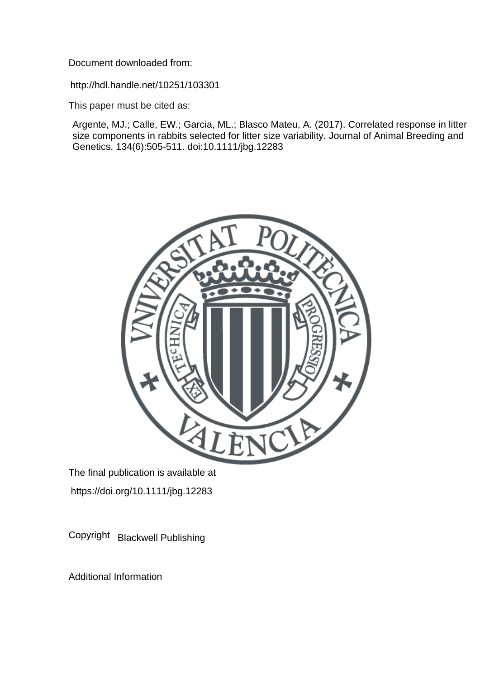Document downloaded from:

http://hdl.handle.net/10251/103301

This paper must be cited as:

Argente, MJ.; Calle, EW.; Garcia, ML.; Blasco Mateu, A. (2017). Correlated response in litter size components in rabbits selected for litter size variability. Journal of Animal Breeding and Genetics. 134(6):505-511. doi:10.1111/jbg.12283



The final publication is available at https://doi.org/10.1111/jbg.12283

Copyright Blackwell Publishing

Additional Information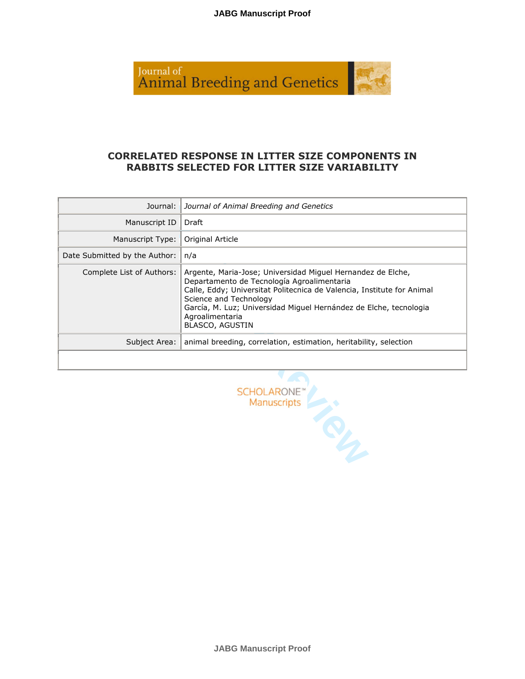

## **CORRELATED RESPONSE IN LITTER SIZE COMPONENTS IN RABBITS SELECTED FOR LITTER SIZE VARIABILITY**

| Journal:                      | Journal of Animal Breeding and Genetics                                                                                                                                                                                                                                                                                         |
|-------------------------------|---------------------------------------------------------------------------------------------------------------------------------------------------------------------------------------------------------------------------------------------------------------------------------------------------------------------------------|
| Manuscript ID                 | Draft                                                                                                                                                                                                                                                                                                                           |
| Manuscript Type:              | Original Article                                                                                                                                                                                                                                                                                                                |
| Date Submitted by the Author: | n/a                                                                                                                                                                                                                                                                                                                             |
| Complete List of Authors:     | Argente, Maria-Jose; Universidad Miguel Hernandez de Elche,<br>Departamento de Tecnología Agroalimentaria<br>Calle, Eddy; Universitat Politecnica de Valencia, Institute for Animal<br>Science and Technology<br>García, M. Luz; Universidad Miquel Hernández de Elche, tecnologia<br>Agroalimentaria<br><b>BLASCO, AGUSTIN</b> |
| Subject Area:                 | animal breeding, correlation, estimation, heritability, selection                                                                                                                                                                                                                                                               |
|                               |                                                                                                                                                                                                                                                                                                                                 |

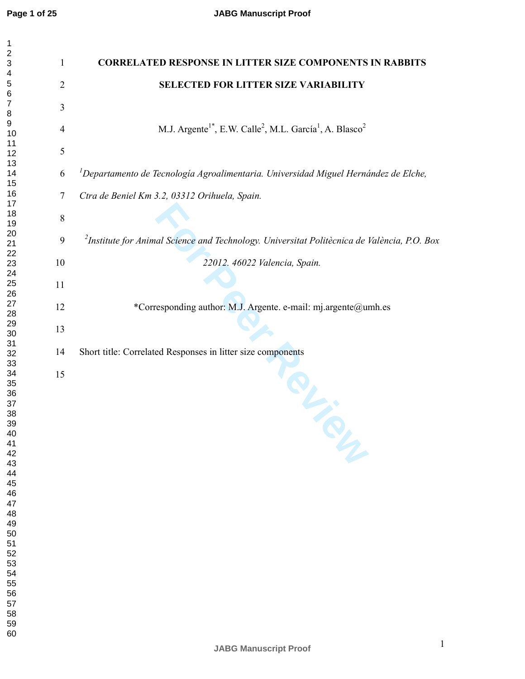$\mathbf{1}$ 

| 1                            |                |                                                                                                          |
|------------------------------|----------------|----------------------------------------------------------------------------------------------------------|
| $\overline{\mathbf{c}}$<br>3 | $\mathbf{1}$   | <b>CORRELATED RESPONSE IN LITTER SIZE COMPONENTS IN RABBITS</b>                                          |
| 4<br>5<br>6                  | $\overline{2}$ | <b>SELECTED FOR LITTER SIZE VARIABILITY</b>                                                              |
| 7<br>8                       | 3              |                                                                                                          |
| $\boldsymbol{9}$<br>10       | $\overline{4}$ | M.J. Argente <sup>1*</sup> , E.W. Calle <sup>2</sup> , M.L. García <sup>1</sup> , A. Blasco <sup>2</sup> |
| 11<br>12                     | 5              |                                                                                                          |
| 13<br>14                     | 6              | <sup>1</sup> Departamento de Tecnología Agroalimentaria. Universidad Miguel Hernández de Elche,          |
| 15<br>16<br>17               | $\tau$         | Ctra de Beniel Km 3.2, 03312 Orihuela, Spain.                                                            |
| 18<br>19                     | 8              |                                                                                                          |
| 20<br>21                     | 9              | <sup>2</sup> Institute for Animal Science and Technology. Universitat Politècnica de València, P.O. Box  |
| 22<br>23                     | 10             | 22012. 46022 Valencia, Spain.                                                                            |
| 24<br>25                     | 11             |                                                                                                          |
| 26<br>27<br>28               | 12             | *Corresponding author: M.J. Argente. e-mail: mj.argente@umh.es                                           |
| 29<br>30                     | 13             |                                                                                                          |
| 31<br>32                     | 14             | Short title: Correlated Responses in litter size components                                              |
| 33<br>34                     | 15             |                                                                                                          |
| 35<br>36                     |                |                                                                                                          |
| 37<br>38                     |                |                                                                                                          |
| 39<br>40<br>41               |                |                                                                                                          |
| 42<br>43                     |                |                                                                                                          |
| 44<br>45                     |                |                                                                                                          |
| 46<br>47                     |                |                                                                                                          |
| 48<br>49                     |                |                                                                                                          |
| 50<br>51                     |                |                                                                                                          |
| 52<br>53                     |                |                                                                                                          |
| 54                           |                |                                                                                                          |
| 55<br>56                     |                |                                                                                                          |
| 57                           |                |                                                                                                          |
| 59                           |                |                                                                                                          |
| 58<br>60                     |                |                                                                                                          |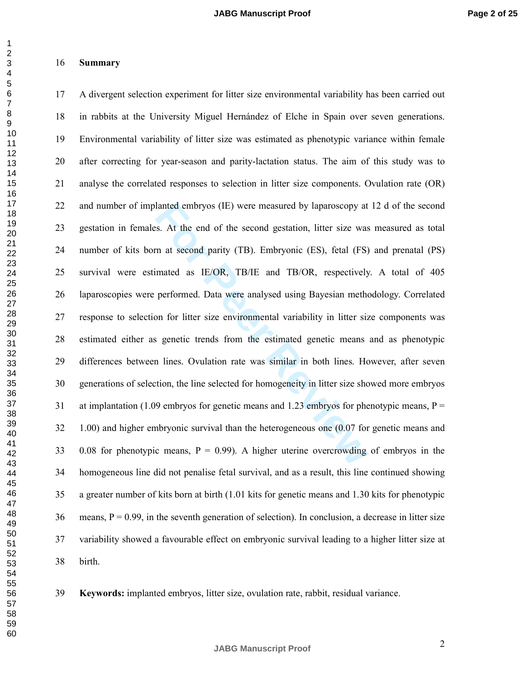#### $\overline{2}$

 $\mathbf{1}$ 

#### **Summary**

lanted embryos (IE) were measured by laparoscopy at<br>s. At the end of the second gestation, litter size was<br>m at second parity (TB). Embryonic (ES), fetal (FS)<br>imated as IE/OR, TB/IE and TB/OR, respectively<br>performed. Data 17 A divergent selection experiment for litter size environmental variability has been carried out 18 in rabbits at the University Miguel Hernández of Elche in Spain over seven generations. 19 Environmental variability of litter size was estimated as phenotypic variance within female 20 after correcting for year-season and parity-lactation status. The aim of this study was to 21 analyse the correlated responses to selection in litter size components. Ovulation rate (OR) 22 and number of implanted embryos (IE) were measured by laparoscopy at 12 d of the second 23 gestation in females. At the end of the second gestation, litter size was measured as total 24 number of kits born at second parity (TB). Embryonic (ES), fetal (FS) and prenatal (PS) 25 survival were estimated as IE/OR, TB/IE and TB/OR, respectively. A total of 405 26 laparoscopies were performed. Data were analysed using Bayesian methodology. Correlated 27 response to selection for litter size environmental variability in litter size components was 28 estimated either as genetic trends from the estimated genetic means and as phenotypic 29 differences between lines. Ovulation rate was similar in both lines. However, after seven 30 generations of selection, the line selected for homogeneity in litter size showed more embryos 31 at implantation (1.09 embryos for genetic means and 1.23 embryos for phenotypic means,  $P =$ 32 1.00) and higher embryonic survival than the heterogeneous one (0.07 for genetic means and 33 0.08 for phenotypic means,  $P = 0.99$ . A higher uterine overcrowding of embryos in the 34 homogeneous line did not penalise fetal survival, and as a result, this line continued showing 35 a greater number of kits born at birth (1.01 kits for genetic means and 1.30 kits for phenotypic means,  $P = 0.99$ , in the seventh generation of selection). In conclusion, a decrease in litter size 37 variability showed a favourable effect on embryonic survival leading to a higher litter size at 38 birth.

**Keywords:** implanted embryos, litter size, ovulation rate, rabbit, residual variance.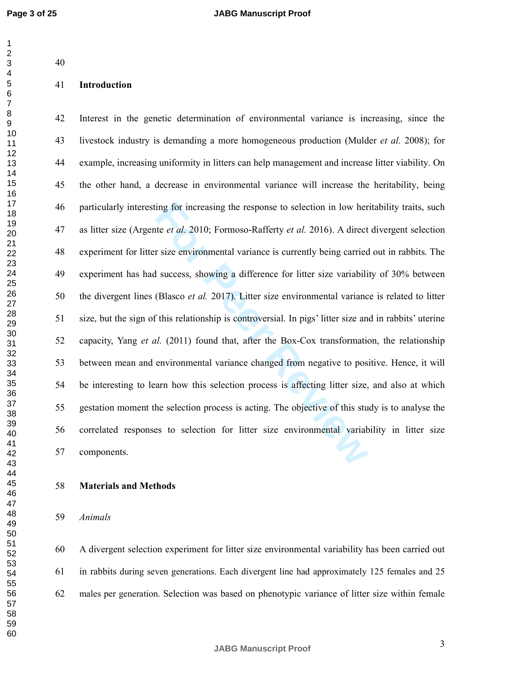# **Introduction**

ing for increasing the response to selection in low her<br>te *et al.* 2010; Formoso-Rafferty *et al.* 2016). A direct<br>r size environmental variance is currently being carried<br>d success, showing a difference for litter size v 42 Interest in the genetic determination of environmental variance is increasing, since the 43 livestock industry is demanding a more homogeneous production (Mulder *et al.* 2008); for 44 example, increasing uniformity in litters can help management and increase litter viability. On 45 the other hand, a decrease in environmental variance will increase the heritability, being 46 particularly interesting for increasing the response to selection in low heritability traits, such 47 as litter size (Argente *et al.* 2010; Formoso-Rafferty *et al.* 2016). A direct divergent selection 48 experiment for litter size environmental variance is currently being carried out in rabbits. The 49 experiment has had success, showing a difference for litter size variability of 30% between 50 the divergent lines (Blasco *et al.* 2017). Litter size environmental variance is related to litter 51 size, but the sign of this relationship is controversial. In pigs' litter size and in rabbits' uterine 52 capacity, Yang *et al.* (2011) found that, after the Box-Cox transformation, the relationship 53 between mean and environmental variance changed from negative to positive. Hence, it will 54 be interesting to learn how this selection process is affecting litter size, and also at which 55 gestation moment the selection process is acting. The objective of this study is to analyse the 56 correlated responses to selection for litter size environmental variability in litter size 57 components.

#### **Materials and Methods**

#### *Animals*

60 A divergent selection experiment for litter size environmental variability has been carried out 61 in rabbits during seven generations. Each divergent line had approximately 125 females and 25 males per generation. Selection was based on phenotypic variance of litter size within female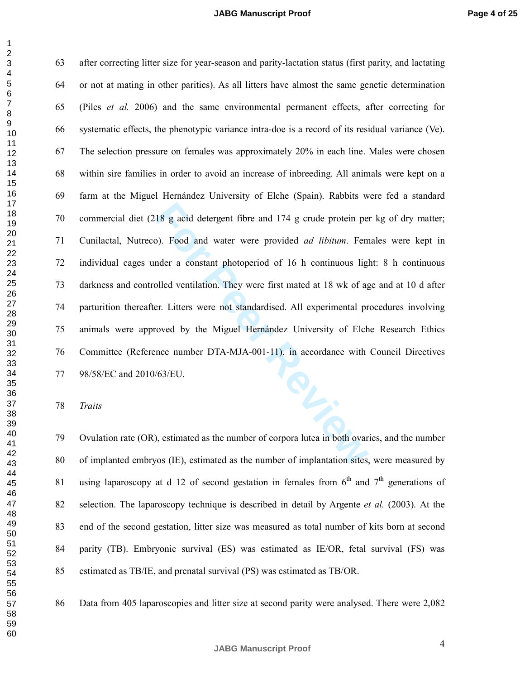18 g acid detergent fibre and 174 g crude protein per<br>
20. Food and water were provided *ad libitum*. Fem<br>
19. Food and water were provided *ad libitum*. Fem<br>
19. For Per a constant photoperiod of 16 h continuous light<br>
19 63 after correcting litter size for year-season and parity-lactation status (first parity, and lactating 64 or not at mating in other parities). As all litters have almost the same genetic determination 65 (Piles *et al.* 2006) and the same environmental permanent effects, after correcting for 66 systematic effects, the phenotypic variance intra-doe is a record of its residual variance (Ve). 67 The selection pressure on females was approximately 20% in each line. Males were chosen 68 within sire families in order to avoid an increase of inbreeding. All animals were kept on a 69 farm at the Miguel Hernández University of Elche (Spain). Rabbits were fed a standard 70 commercial diet (218 g acid detergent fibre and 174 g crude protein per kg of dry matter; 71 Cunilactal, Nutreco). Food and water were provided *ad libitum*. Females were kept in 72 individual cages under a constant photoperiod of 16 h continuous light: 8 h continuous 73 darkness and controlled ventilation. They were first mated at 18 wk of age and at 10 d after 74 parturition thereafter. Litters were not standardised. All experimental procedures involving 75 animals were approved by the Miguel Hernández University of Elche Research Ethics 76 Committee (Reference number DTA-MJA-001-11), in accordance with Council Directives 77 98/58/EC and 2010/63/EU.

*Traits*

79 Ovulation rate (OR), estimated as the number of corpora lutea in both ovaries, and the number 80 of implanted embryos (IE), estimated as the number of implantation sites, were measured by 81 using laparoscopy at d 12 of second gestation in females from  $6<sup>th</sup>$  and  $7<sup>th</sup>$  generations of 82 selection. The laparoscopy technique is described in detail by Argente *et al.* (2003). At the 83 end of the second gestation, litter size was measured as total number of kits born at second 84 parity (TB). Embryonic survival (ES) was estimated as IE/OR, fetal survival (FS) was 85 estimated as TB/IE, and prenatal survival (PS) was estimated as TB/OR.

86 Data from 405 laparoscopies and litter size at second parity were analysed. There were 2,082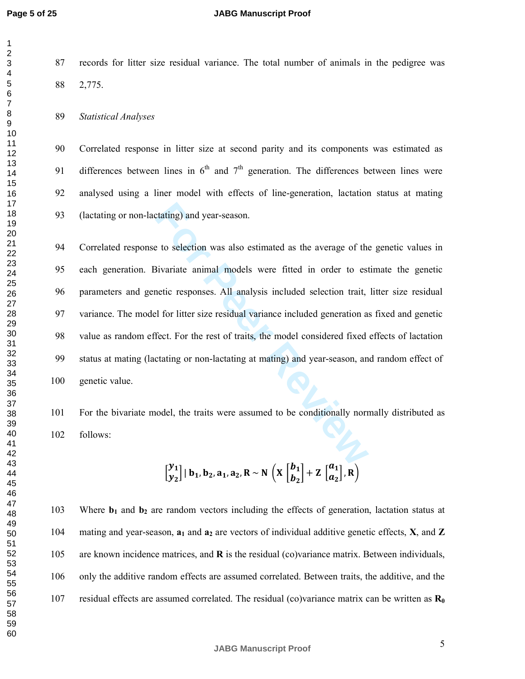123456789

#### **JABG Manuscript Proof**

87 records for litter size residual variance. The total number of animals in the pedigree was 88 2,775.

#### 89 *Statistical Analyses*

90 Correlated response in litter size at second parity and its components was estimated as 91 differences between lines in  $6<sup>th</sup>$  and  $7<sup>th</sup>$  generation. The differences between lines were 92 analysed using a liner model with effects of line-generation, lactation status at mating 93 (lactating or non-lactating) and year-season.

**For Particular System Set All Set All Set All Set All Set All Set All Set All Set All Set All analysis included selection trait, the model of the set All analysis included selection trait, the for litter size residual var** 94 Correlated response to selection was also estimated as the average of the genetic values in 95 each generation. Bivariate animal models were fitted in order to estimate the genetic 96 parameters and genetic responses. All analysis included selection trait, litter size residual 97 variance. The model for litter size residual variance included generation as fixed and genetic 98 value as random effect. For the rest of traits, the model considered fixed effects of lactation 99 status at mating (lactating or non-lactating at mating) and year-season, and random effect of 100 genetic value.

101 For the bivariate model, the traits were assumed to be conditionally normally distributed as 102 follows:

$$
\begin{bmatrix} y_1 \\ y_2 \end{bmatrix} | b_1, b_2, a_1, a_2, R \sim N \left( X \begin{bmatrix} b_1 \\ b_2 \end{bmatrix} + Z \begin{bmatrix} a_1 \\ a_2 \end{bmatrix}, R \right)
$$

103 Where  **and**  $**b**<sub>2</sub>$  **are random vectors including the effects of generation, lactation status at** 104 mating and year-season,  $a_1$  and  $a_2$  are vectors of individual additive genetic effects, **X**, and **Z** 105 are known incidence matrices, and **R** is the residual (co)variance matrix. Between individuals, 106 only the additive random effects are assumed correlated. Between traits, the additive, and the 107 residual effects are assumed correlated. The residual (co)variance matrix can be written as  $\mathbf{R}_{0}$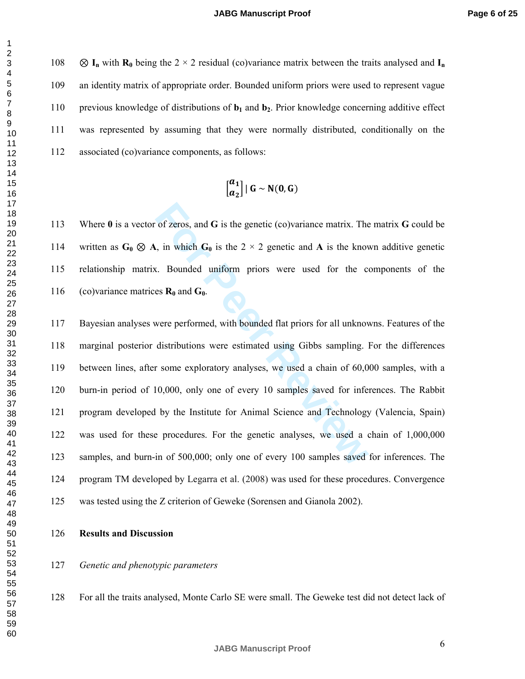$\otimes$  **I**<sub>n</sub> with **R**<sub>0</sub> being the 2 × 2 residual (co)variance matrix between the traits analysed and **I**<sub>n</sub> 109 an identity matrix of appropriate order. Bounded uniform priors were used to represent vague 110 previous knowledge of distributions of **b <sup>1</sup>** and **b <sup>2</sup>**. Prior knowledge concerning additive effect 111 was represented by assuming that they were normally distributed, conditionally on the 112 associated (co)variance components, as follows:

$$
\left[\begin{matrix} a_1 \\ a_2 \end{matrix}\right] | G \sim N(0, G)
$$

113 Where 0 is a vector of zeros, and G is the genetic (co)variance matrix. The matrix G could be 114 written as  $G_0 \otimes A$ , in which  $G_0$  is the 2  $\times$  2 genetic and A is the known additive genetic 115 relationship matrix. Bounded uniform priors were used for the components of the 116 (co)variance matrices  $\mathbf{R}_0$  and  $\mathbf{G}_0$ .

of zeros, and **G** is the genetic (co)variance matrix. The<br>
i, in which  $G_0$  is the  $2 \times 2$  genetic and **A** is the know<br>
i. Bounded uniform priors were used for the coses  $\mathbf{R}_0$  and  $G_0$ .<br>
were performed, with bounded 117 Bayesian analyses were performed, with bounded flat priors for all unknowns. Features of the 118 marginal posterior distributions were estimated using Gibbs sampling. For the differences 119 between lines, after some exploratory analyses, we used a chain of 60,000 samples, with a 120 burn-in period of 10,000, only one of every 10 samples saved for inferences. The Rabbit 121 program developed by the Institute for Animal Science and Technology (Valencia, Spain) 122 was used for these procedures. For the genetic analyses, we used a chain of 1,000,000 123 samples, and burn-in of 500,000; only one of every 100 samples saved for inferences. The 124 program TM developed by Legarra et al. (2008) was used for these procedures. Convergence 125 was tested using the Z criterion of Geweke (Sorensen and Gianola 2002).

- **Results and Discussion**
- *Genetic and phenotypic parameters*
- 128 For all the traits analysed, Monte Carlo SE were small. The Geweke test did not detect lack of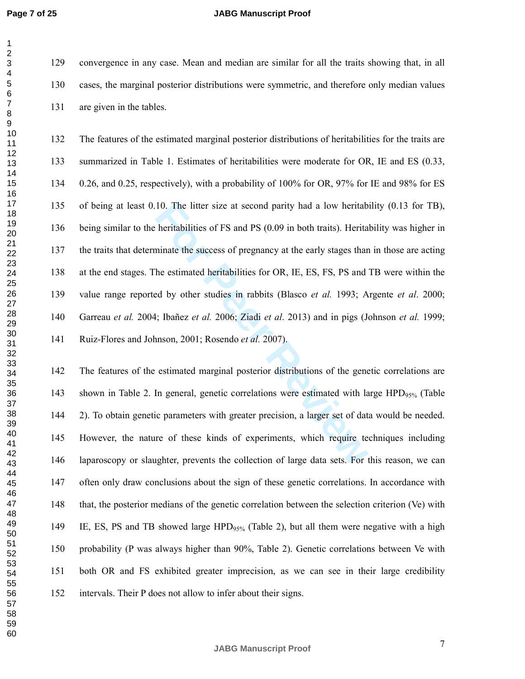$\mathbf 1$ 

#### **JABG Manuscript Proof**

129 convergence in any case. Mean and median are similar for all the traits showing that, in all 130 cases, the marginal posterior distributions were symmetric, and therefore only median values 131 are given in the tables.

10. The litter size at second parity had a low heritabler heritabilities of FS and PS (0.09 in both traits). Herita<br>hinate the success of pregnancy at the early stages than<br>the estimated heritabilities for OR, IE, ES, FS, 132 The features of the estimated marginal posterior distributions of heritabilities for the traits are 133 summarized in Table 1. Estimates of heritabilities were moderate for OR, IE and ES (0.33, 134 0.26, and 0.25, respectively), with a probability of 100% for OR, 97% for IE and 98% for ES 135 of being at least 0.10. The litter size at second parity had a low heritability (0.13 for TB), 136 being similar to the heritabilities of FS and PS (0.09 in both traits). Heritability was higher in 137 the traits that determinate the success of pregnancy at the early stages than in those are acting 138 at the end stages. The estimated heritabilities for OR, IE, ES, FS, PS and TB were within the 139 value range reported by other studies in rabbits (Blasco *et al.* 1993; Argente *et al*. 2000; 140 Garreau *et al.* 2004; Ibañez *et al.* 2006; Ziadi *et al*. 2013) and in pigs (Johnson *et al.* 1999; 141 Ruiz-Flores and Johnson, 2001; Rosendo *et al.* 2007).

142 The features of the estimated marginal posterior distributions of the genetic correlations are 143 shown in Table 2. In general, genetic correlations were estimated with large  $HPD_{95\%}$  (Table 144 2). To obtain genetic parameters with greater precision, a larger set of data would be needed. 145 However, the nature of these kinds of experiments, which require techniques including 146 laparoscopy or slaughter, prevents the collection of large data sets. For this reason, we can 147 often only draw conclusions about the sign of these genetic correlations. In accordance with 148 that, the posterior medians of the genetic correlation between the selection criterion (Ve) with 149 IE, ES, PS and TB showed large HPD<sub>95%</sub> (Table 2), but all them were negative with a high 150 probability (P was always higher than 90%, Table 2). Genetic correlations between Ve with 151 both OR and FS exhibited greater imprecision, as we can see in their large credibility 152 intervals. Their P does not allow to infer about their signs.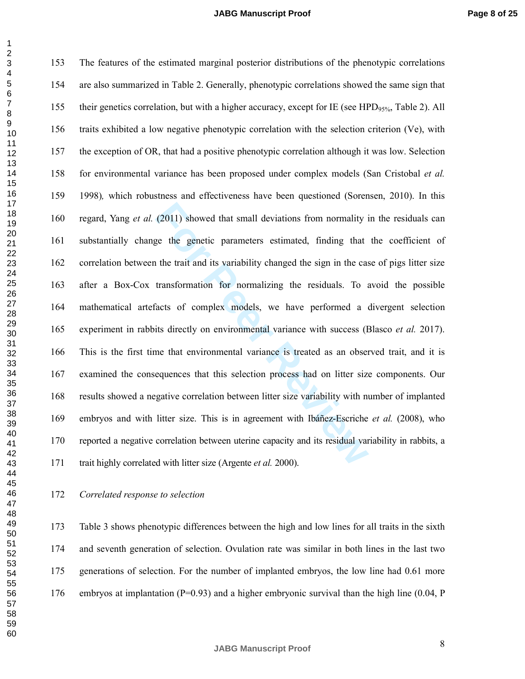(2011) showed that small deviations from normality i<br>ge the genetic parameters estimated, finding that<br>the trait and its variability changed the sign in the cas<br>transformation for normalizing the residuals. To a<br>acts of co 153 The features of the estimated marginal posterior distributions of the phenotypic correlations 154 are also summarized in Table 2. Generally, phenotypic correlations showed the same sign that 155 their genetics correlation, but with a higher accuracy, except for IE (see HPD $_{95\%}$ , Table 2). All 156 traits exhibited a low negative phenotypic correlation with the selection criterion (Ve), with 157 the exception of OR, that had a positive phenotypic correlation although it was low. Selection 158 for environmental variance has been proposed under complex models (San Cristobal *et al.*  159 1998), which robustness and effectiveness have been questioned (Sorensen, 2010). In this 160 regard, Yang *et al.* (2011) showed that small deviations from normality in the residuals can 161 substantially change the genetic parameters estimated, finding that the coefficient of 162 correlation between the trait and its variability changed the sign in the case of pigs litter size 163 after a Box-Cox transformation for normalizing the residuals. To avoid the possible 164 mathematical artefacts of complex models, we have performed a divergent selection 165 experiment in rabbits directly on environmental variance with success (Blasco *et al.* 2017). 166 This is the first time that environmental variance is treated as an observed trait, and it is 167 examined the consequences that this selection process had on litter size components. Our 168 results showed a negative correlation between litter size variability with number of implanted 169 embryos and with litter size. This is in agreement with Ibáñez-Escriche *et al.* (2008), who 170 reported a negative correlation between uterine capacity and its residual variability in rabbits, a 171 trait highly correlated with litter size (Argente *et al.* 2000).

### *Correlated response to selection*

173 Table 3 shows phenotypic differences between the high and low lines for all traits in the sixth 174 and seventh generation of selection. Ovulation rate was similar in both lines in the last two 175 generations of selection. For the number of implanted embryos, the low line had 0.61 more 176 embryos at implantation ( $P=0.93$ ) and a higher embryonic survival than the high line (0.04, P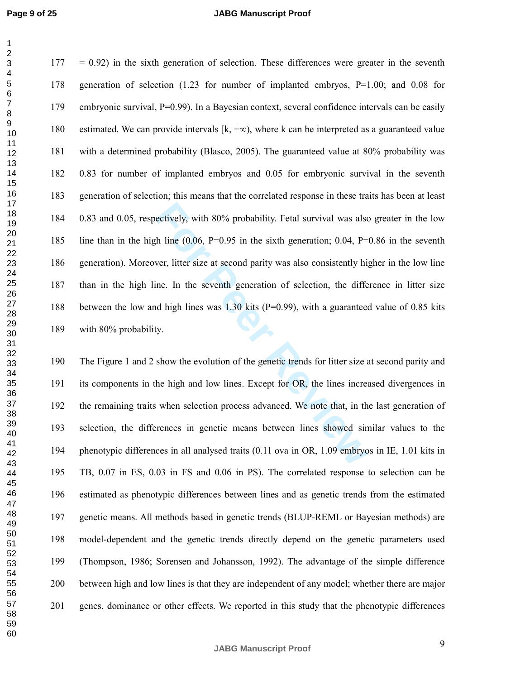$\mathbf{1}$ 

#### **JABG Manuscript Proof**

ectively, with 80% probability. Fetal survival was alse<br>th line (0.06, P=0.95 in the sixth generation; 0.04, P=<br>ver, litter size at second parity was also consistently hig<br>ine. In the seventh generation of selection, the d  $177 = 0.92$ ) in the sixth generation of selection. These differences were greater in the seventh 178 generation of selection (1.23 for number of implanted embryos, P=1.00; and 0.08 for 179 embryonic survival, P=0.99). In a Bayesian context, several confidence intervals can be easily 180 estimated. We can provide intervals  $[k, +\infty)$ , where k can be interpreted as a guaranteed value 181 with a determined probability (Blasco, 2005). The guaranteed value at 80% probability was 182 0.83 for number of implanted embryos and 0.05 for embryonic survival in the seventh 183 generation of selection; this means that the correlated response in these traits has been at least 184 0.83 and 0.05, respectively, with 80% probability. Fetal survival was also greater in the low 185 line than in the high line (0.06, P=0.95 in the sixth generation; 0.04, P=0.86 in the seventh 186 generation). Moreover, litter size at second parity was also consistently higher in the low line 187 than in the high line. In the seventh generation of selection, the difference in litter size 188 between the low and high lines was 1.30 kits (P=0.99), with a guaranteed value of 0.85 kits 189 with 80% probability.

190 The Figure 1 and 2 show the evolution of the genetic trends for litter size at second parity and 191 its components in the high and low lines. Except for OR, the lines increased divergences in 192 the remaining traits when selection process advanced. We note that, in the last generation of 193 selection, the differences in genetic means between lines showed similar values to the 194 phenotypic differences in all analysed traits (0.11 ova in OR, 1.09 embryos in IE, 1.01 kits in 195 TB, 0.07 in ES, 0.03 in FS and 0.06 in PS). The correlated response to selection can be 196 estimated as phenotypic differences between lines and as genetic trends from the estimated 197 genetic means. All methods based in genetic trends (BLUP-REML or Bayesian methods) are 198 model-dependent and the genetic trends directly depend on the genetic parameters used 199 (Thompson, 1986; Sorensen and Johansson, 1992). The advantage of the simple difference 200 between high and low lines is that they are independent of any model; whether there are major 201 genes, dominance or other effects. We reported in this study that the phenotypic differences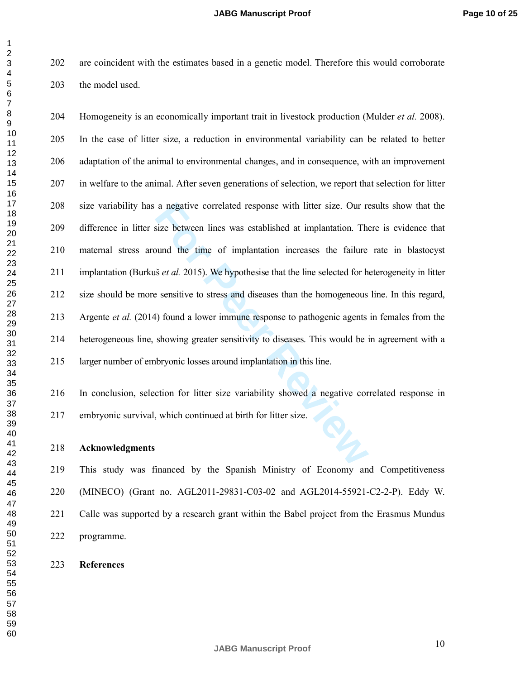202 are coincident with the estimates based in a genetic model. Therefore this would corroborate 203 the model used.

a negative correlated response with litter size. Our resize between lines was established at implantation. The sum of the time of implantation increases the failure is *et al.* 2015). We hypothesise that the line selected 204 Homogeneity is an economically important trait in livestock production (Mulder *et al.* 2008). 205 In the case of litter size, a reduction in environmental variability can be related to better 206 adaptation of the animal to environmental changes, and in consequence, with an improvement 207 in welfare to the animal. After seven generations of selection, we report that selection for litter 208 size variability has a negative correlated response with litter size. Our results show that the 209 difference in litter size between lines was established at implantation. There is evidence that 210 maternal stress around the time of implantation increases the failure rate in blastocyst 211 implantation (Burkuš *et al.* 2015). We hypothesise that the line selected for heterogeneity in litter 212 size should be more sensitive to stress and diseases than the homogeneous line. In this regard, 213 Argente *et al.* (2014) found a lower immune response to pathogenic agents in females from the 214 heterogeneous line, showing greater sensitivity to diseases. This would be in agreement with a 215 larger number of embryonic losses around implantation in this line.

216 In conclusion, selection for litter size variability showed a negative correlated response in 217 embryonic survival, which continued at birth for litter size.

**Acknowledgments** 

219 This study was financed by the Spanish Ministry of Economy and Competitiveness 220 (MINECO) (Grant no. AGL2011-29831-C03-02 and AGL2014-55921-C2-2-P). Eddy W. 221 Calle was supported by a research grant within the Babel project from the Erasmus Mundus 222 programme.

**References** 

 $\mathbf{1}$  $\overline{2}$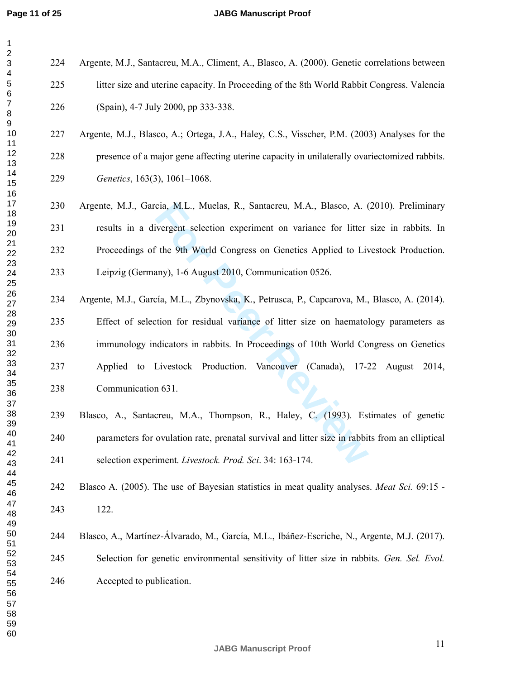#### **JABG Manuscript Proof**

| 1                  |
|--------------------|
| $\overline{c}$     |
| 3                  |
| 4                  |
| 5                  |
| 6                  |
| 7                  |
| 8                  |
|                    |
|                    |
|                    |
|                    |
|                    |
|                    |
|                    |
|                    |
|                    |
|                    |
| 910112131415161718 |
| 19                 |
| 20                 |
|                    |
|                    |
|                    |
|                    |
|                    |
|                    |
|                    |
|                    |
|                    |
|                    |
|                    |
|                    |
|                    |
|                    |
|                    |
|                    |
|                    |
|                    |
|                    |
|                    |
| 40                 |
| 41                 |
| 42                 |
| $4^{\circ}$<br>ì   |
| 44                 |
| 45                 |
| 46                 |
| 47                 |
| 48<br>3            |
| 49                 |
| 50                 |
|                    |
| 5<br>1             |
| 52                 |
| 53<br>3            |
| 54                 |
| 55                 |
| 56<br>ì            |
| 57                 |
| 58                 |
| 59                 |
| 60                 |

224 Argente, M.J., Santacreu, M.A., Climent, A., Blasco, A. (2000). Genetic correlations between 225 litter size and uterine capacity. In Proceeding of the 8th World Rabbit Congress. Valencia 226 (Spain), 4-7 July 2000, pp 333-338.

# 227 Argente, M.J., Blasco, A.; Ortega, J.A., Haley, C.S., Visscher, P.M. (2003) Analyses for the 228 presence of a major gene affecting uterine capacity in unilaterally ovariectomized rabbits. *Genetics*, 163(3), 1061–1068.

- 230 Argente, M.J., Garcia, M.L., Muelas, R., Santacreu, M.A., Blasco, A. (2010). Preliminary 231 results in a divergent selection experiment on variance for litter size in rabbits. In 232 Proceedings of the 9th World Congress on Genetics Applied to Livestock Production. 233 Leipzig (Germany), 1-6 August 2010, Communication 0526.
- cia, M.L., Muelas, R., Santacreu, M.A., Blasco, A. (ivergent selection experiment on variance for litter<br>
<sup>F</sup> the 9th World Congress on Genetics Applied to Liven<br> **For Peer World Congress on Genetics Applied to Liven**<br>
For 234 Argente, M.J., García, M.L., Zbynovska, K., Petrusca, P., Capcarova, M., Blasco, A. (2014). 235 Effect of selection for residual variance of litter size on haematology parameters as 236 immunology indicators in rabbits. In Proceedings of 10th World Congress on Genetics 237 Applied to Livestock Production. Vancouver (Canada), 17-22 August 2014, 238 Communication 631.
	- 239 Blasco, A., Santacreu, M.A., Thompson, R., Haley, C. (1993). Estimates of genetic 240 parameters for ovulation rate, prenatal survival and litter size in rabbits from an elliptical 241 selection experiment. *Livestock. Prod. Sci*. 34: 163-174.
	- 242 Blasco A. (2005). The use of Bayesian statistics in meat quality analyses. *Meat Sci.* 69:15 243 122.
	- 244 Blasco, A., Martínez-Álvarado, M., García, M.L., Ibáñez-Escriche, N., Argente, M.J. (2017). 245 Selection for genetic environmental sensitivity of litter size in rabbits. *Gen. Sel. Evol.*  246 Accepted to publication.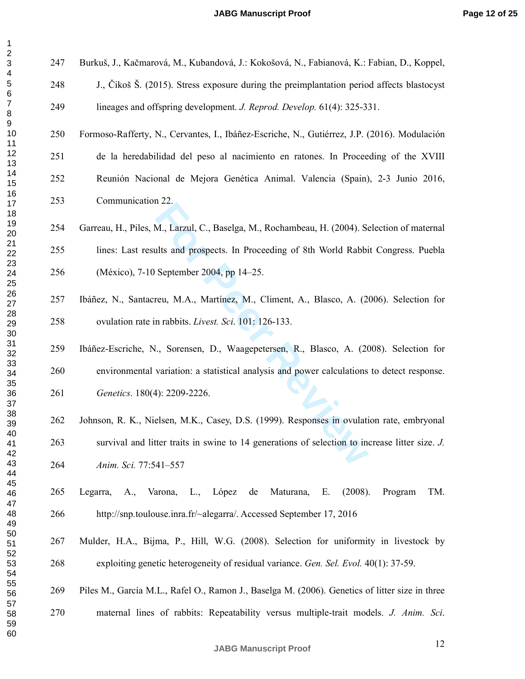$\mathbf{1}$ 

247 Burkuš, J., Kačmarová, M., Kubandová, J.: Kokošová, N., Fabianová, K.: Fabian, D., Koppel,

248 J., Čikoš Š. (2015). Stress exposure during the preimplantation period affects blastocyst 249 lineages and offspring development. *J. Reprod. Develop.* 61(4): 325-331.

- 250 Formoso-Rafferty, N., Cervantes, I., Ibáñez-Escriche, N., Gutiérrez, J.P. (2016). Modulación 251 de la heredabilidad del peso al nacimiento en ratones. In Proceeding of the XVIII 252 Reunión Nacional de Mejora Genética Animal. Valencia (Spain), 2-3 Junio 2016, 253 Communication 22.
- 122.<br> **K., Larzul, C., Baselga, M., Rochambeau, H. (2004). Send that prospects.** In Proceeding of 8th World Rabbi<br>
September 2004, pp 14–25.<br> **For Peer Review, M., Plancel A., Blasco, A. (20**<br> **n** rabbits. *Livest. Sci.* 1 254 Garreau, H., Piles, M., Larzul, C., Baselga, M., Rochambeau, H. (2004). Selection of maternal 255 lines: Last results and prospects. In Proceeding of 8th World Rabbit Congress. Puebla 256 (México), 7-10 September 2004, pp 14–25.
	- 257 Ibáñez, N., Santacreu, M.A., Martínez, M., Climent, A., Blasco, A. (2006). Selection for 258 ovulation rate in rabbits. *Livest. Sci*. 101: 126-133.
- 259 Ibáñez-Escriche, N., Sorensen, D., Waagepetersen, R., Blasco, A. (2008). Selection for 260 environmental variation: a statistical analysis and power calculations to detect response. *Genetics*. 180(4): 2209-2226.
- 262 Johnson, R. K., Nielsen, M.K., Casey, D.S. (1999). Responses in ovulation rate, embryonal 263 survival and litter traits in swine to 14 generations of selection to increase litter size. *J. Anim. Sci.* 77:541–557
- 265 Legarra, A., Varona, L., López de Maturana, E. (2008). Program TM. 266 http://snp.toulouse.inra.fr/~alegarra/. Accessed September 17, 2016
- 267 Mulder, H.A., Bijma, P., Hill, W.G. (2008). Selection for uniformity in livestock by 268 exploiting genetic heterogeneity of residual variance. *Gen. Sel. Evol.* 40(1): 37-59.
- 269 Piles M., García M.L., Rafel O., Ramon J., Baselga M. (2006). Genetics of litter size in three
- 270 maternal lines of rabbits: Repeatability versus multiple-trait models. *J. Anim. Sci*.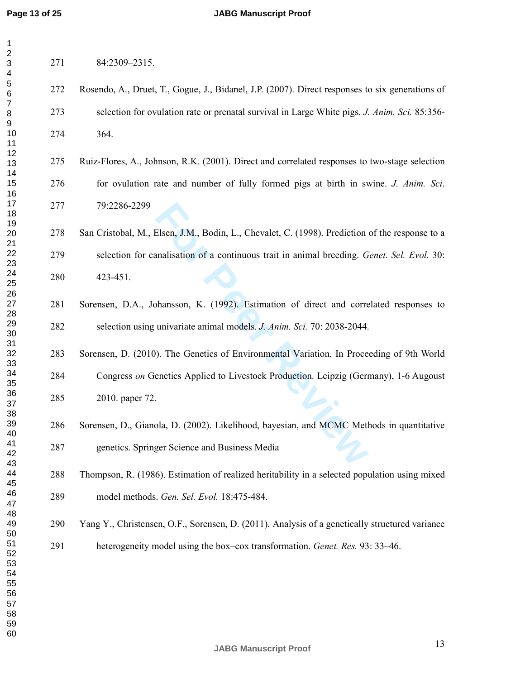#### **JABG Manuscript Proof**

| 1                                                   |  |
|-----------------------------------------------------|--|
| $\overline{ }$                                      |  |
|                                                     |  |
|                                                     |  |
|                                                     |  |
|                                                     |  |
|                                                     |  |
|                                                     |  |
|                                                     |  |
|                                                     |  |
|                                                     |  |
|                                                     |  |
|                                                     |  |
|                                                     |  |
|                                                     |  |
|                                                     |  |
|                                                     |  |
|                                                     |  |
|                                                     |  |
|                                                     |  |
|                                                     |  |
|                                                     |  |
|                                                     |  |
| 34567891012134151678901                             |  |
| $\overline{21}$                                     |  |
|                                                     |  |
|                                                     |  |
| 22<br>23<br>24<br>25<br>26                          |  |
|                                                     |  |
|                                                     |  |
|                                                     |  |
|                                                     |  |
| $\frac{1}{28}$                                      |  |
| $^{29}$                                             |  |
|                                                     |  |
| 30<br>31<br>32<br>334<br>34<br>35<br>36<br>37<br>38 |  |
|                                                     |  |
|                                                     |  |
|                                                     |  |
|                                                     |  |
|                                                     |  |
|                                                     |  |
|                                                     |  |
|                                                     |  |
|                                                     |  |
|                                                     |  |
| 40                                                  |  |
|                                                     |  |
| 41                                                  |  |
| 42                                                  |  |
| 43<br>Š                                             |  |
| 44                                                  |  |
| 45                                                  |  |
|                                                     |  |
| 46                                                  |  |
| 47                                                  |  |
| 48                                                  |  |
| 49                                                  |  |
| 50                                                  |  |
|                                                     |  |
| 51<br>52                                            |  |
| $\overline{ }$                                      |  |
| E<br>X<br>3                                         |  |
| 54                                                  |  |
| 55                                                  |  |
| 56<br>ì                                             |  |
|                                                     |  |
| 57                                                  |  |
| 58                                                  |  |
| 59<br>J                                             |  |

| 271 | 84:2309-2315.                                                                                   |
|-----|-------------------------------------------------------------------------------------------------|
| 272 | Rosendo, A., Druet, T., Gogue, J., Bidanel, J.P. (2007). Direct responses to six generations of |

- 273 selection for ovulation rate or prenatal survival in Large White pigs. *J. Anim. Sci.* 85:356- 274 364.
- 275 Ruiz-Flores, A., Johnson, R.K. (2001). Direct and correlated responses to two-stage selection 276 for ovulation rate and number of fully formed pigs at birth in swine. *J. Anim. Sci*. 277 79:2286-2299
- Elsen, J.M., Bodin, L., Chevalet, C. (1998). Prediction<br>analisation of a continuous trait in animal breeding. *G*<br>bhansson, K. (1992). Estimation of direct and corre<br>univariate animal models. *J. Anim. Sci.* 70: 2038-2044. 278 San Cristobal, M., Elsen, J.M., Bodin, L., Chevalet, C. (1998). Prediction of the response to a 279 selection for canalisation of a continuous trait in animal breeding. *Genet. Sel. Evol*. 30: 280 423-451.
- 281 Sorensen, D.A., Johansson, K. (1992). Estimation of direct and correlated responses to 282 selection using univariate animal models. *J. Anim. Sci.* 70: 2038-2044.
- 283 Sorensen, D. (2010). The Genetics of Environmental Variation. In Proceeding of 9th World 284 Congress *on* Genetics Applied to Livestock Production. Leipzig (Germany), 1-6 Augoust 285 2010. paper 72.
	- 286 Sorensen, D., Gianola, D. (2002). Likelihood, bayesian, and MCMC Methods in quantitative 287 genetics. Springer Science and Business Media
	- 288 Thompson, R. (1986). Estimation of realized heritability in a selected population using mixed 289 model methods. *Gen. Sel. Evol.* 18:475-484.
	- 290 Yang Y., Christensen, O.F., Sorensen, D. (2011). Analysis of a genetically structured variance
	- 291 heterogeneity model using the box–cox transformation. *Genet. Res.* 93: 33–46.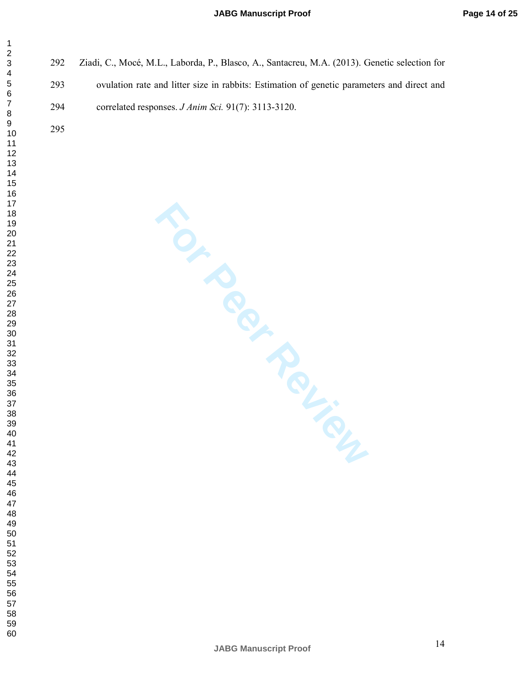- 292 Ziadi, C., Mocé, M.L., Laborda, P., Blasco, A., Santacreu, M.A. (2013). Genetic selection for
- 293 ovulation rate and litter size in rabbits: Estimation of genetic parameters and direct and 294 correlated responses. *J Anim Sci.* 91(7): 3113-3120.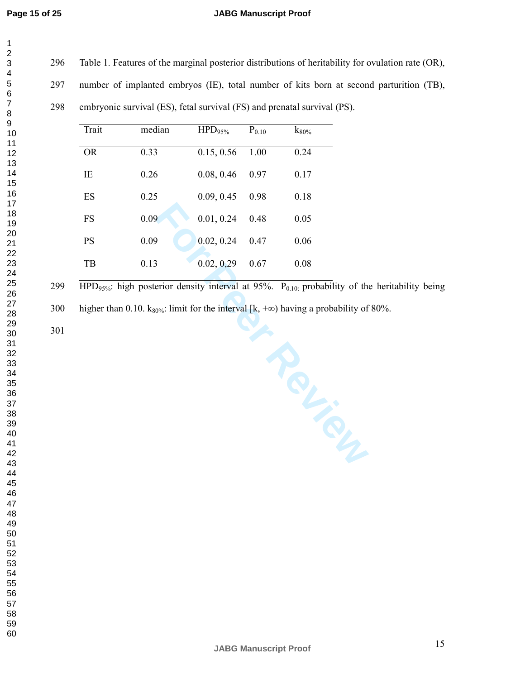$\mathbf{1}$  $\overline{2}$  $\overline{\mathbf{4}}$  $\overline{7}$ 

296 Table 1. Features of the marginal posterior distributions of heritability for ovulation rate (OR),

297 number of implanted embryos (IE), total number of kits born at second parturition (TB),

298 embryonic survival (ES), fetal survival (FS) and prenatal survival (PS).

| Trait     | median | $HPD_{95\%}$ | $P_{0.10}$ | $k_{80\%}$ |
|-----------|--------|--------------|------------|------------|
| <b>OR</b> | 0.33   | 0.15, 0.56   | 1.00       | 0.24       |
| IE        | 0.26   | 0.08, 0.46   | 0.97       | 0.17       |
| ES        | 0.25   | 0.09, 0.45   | 0.98       | 0.18       |
| FS        | 0.09   | 0.01, 0.24   | 0.48       | 0.05       |
| PS        | 0.09   | 0.02, 0.24   | 0.47       | 0.06       |
| TB        | 0.13   | 0.02, 0.29   | 0.67       | 0.08       |

299 HPD<sub>95%</sub>: high posterior density interval at 95%. P<sub>0.10:</sub> probability of the heritability being

300 higher than 0.10. k<sub>80%</sub>: limit for the interval [k, +∞) having a probability of 80%.

Francy Review Review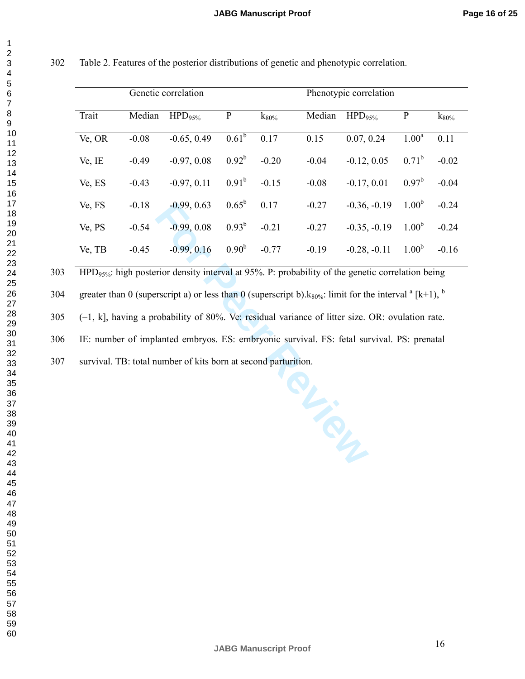|        |         | Genetic correlation |                   |            | Phenotypic correlation |                    |                   |                     |
|--------|---------|---------------------|-------------------|------------|------------------------|--------------------|-------------------|---------------------|
| Trait  | Median  | $HPD95%$            | ${\bf P}$         | $k_{80\%}$ | Median                 | HPD <sub>95%</sub> | ${\bf P}$         | $\mathrm{k}_{80\%}$ |
| Ve, OR | $-0.08$ | $-0.65, 0.49$       | $0.61^{b}$        | 0.17       | 0.15                   | 0.07, 0.24         | 1.00 <sup>a</sup> | 0.11                |
| Ve, IE | $-0.49$ | $-0.97, 0.08$       | $0.92^{b}$        | $-0.20$    | $-0.04$                | $-0.12, 0.05$      | $0.71^b$          | $-0.02$             |
| Ve, ES | $-0.43$ | $-0.97, 0.11$       | $0.91^{b}$        | $-0.15$    | $-0.08$                | $-0.17, 0.01$      | $0.97^b$          | $-0.04$             |
| Ve, FS | $-0.18$ | $-0.99, 0.63$       | $0.65^{\rm b}$    | 0.17       | $-0.27$                | $-0.36, -0.19$     | 1.00 <sup>b</sup> | $-0.24$             |
| Ve, PS | $-0.54$ | $-0.99, 0.08$       | $0.93^{b}$        | $-0.21$    | $-0.27$                | $-0.35, -0.19$     | 1.00 <sup>b</sup> | $-0.24$             |
| Ve, TB | $-0.45$ | $-0.99, 0.16$       | 0.90 <sup>b</sup> | $-0.77$    | $-0.19$                | $-0.28, -0.11$     | 1.00 <sup>b</sup> | $-0.16$             |

302 Table 2. Features of the posterior distributions of genetic and phenotypic correlation.

303 HPD95%: high posterior density interval at 95%. P: probability of the genetic correlation being

greater than 0 (superscript a) or less than 0 (superscript b). $k_{80\%}$ : limit for the interval  $^a$  [k+1),  $^b$ 304

305 (–1, k], having a probability of 80%. Ve: residual variance of litter size. OR: ovulation rate.

306 IE: number of implanted embryos. ES: embryonic survival. FS: fetal survival. PS: prenatal

307 survival. TB: total number of kits born at second parturition.

 $\mathbf 1$  $\overline{2}$ 3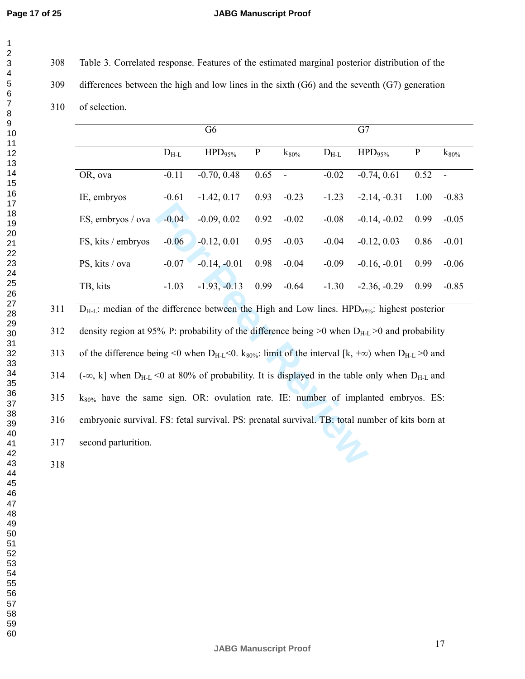$\mathbf{1}$  $\overline{2}$  $\overline{\mathbf{4}}$  $\overline{7}$ 

#### **JABG Manuscript Proof**

308 Table 3. Correlated response. Features of the estimated marginal posterior distribution of the

309 differences between the high and low lines in the sixth (G6) and the seventh (G7) generation

310 of selection.

|                    |           | G <sub>6</sub> |             |            |           | G7                 |             |                |
|--------------------|-----------|----------------|-------------|------------|-----------|--------------------|-------------|----------------|
|                    | $D_{H-L}$ | $HPD95%$       | $\mathbf P$ | $k_{80\%}$ | $D_{H-L}$ | HPD <sub>95%</sub> | $\mathbf P$ | $k_{80\%}$     |
| OR, ova            | $-0.11$   | $-0.70, 0.48$  | 0.65        | $\sim$     | $-0.02$   | $-0.74, 0.61$      | 0.52        | $\blacksquare$ |
| IE, embryos        | $-0.61$   | $-1.42, 0.17$  | 0.93        | $-0.23$    | $-1.23$   | $-2.14, -0.31$     | 1.00        | $-0.83$        |
| ES, embryos / ova  | $-0.04$   | $-0.09, 0.02$  | 0.92        | $-0.02$    | $-0.08$   | $-0.14, -0.02$     | 0.99        | $-0.05$        |
| FS, kits / embryos | $-0.06$   | $-0.12, 0.01$  | 0.95        | $-0.03$    | $-0.04$   | $-0.12, 0.03$      | 0.86        | $-0.01$        |
| PS, kits / ova     | $-0.07$   | $-0.14, -0.01$ | 0.98        | $-0.04$    | $-0.09$   | $-0.16, -0.01$     | 0.99        | $-0.06$        |
| TB, kits           | $-1.03$   | $-1.93, -0.13$ | 0.99        | $-0.64$    | $-1.30$   | $-2.36, -0.29$     | 0.99        | $-0.85$        |

**For Peer Review**  $D_{H-L}$ : median of the difference between the High and Low lines. HPD $_{95\%}$ : highest posterior 312 density region at 95% P: probability of the difference being  $>0$  when  $D_{H-L} > 0$  and probability 313 of the difference being <0 when  $D_{H-L}$ <0. k<sub>80%</sub>: limit of the interval [k, +∞) when  $D_{H-L}$  >0 and 314 (-∞, k] when  $D_{H-L}$  <0 at 80% of probability. It is displayed in the table only when  $D_{H-L}$  and  $k_{80\%}$  have the same sign. OR: ovulation rate. IE: number of implanted embryos. ES: 316 embryonic survival. FS: fetal survival. PS: prenatal survival. TB: total number of kits born at 317 second parturition.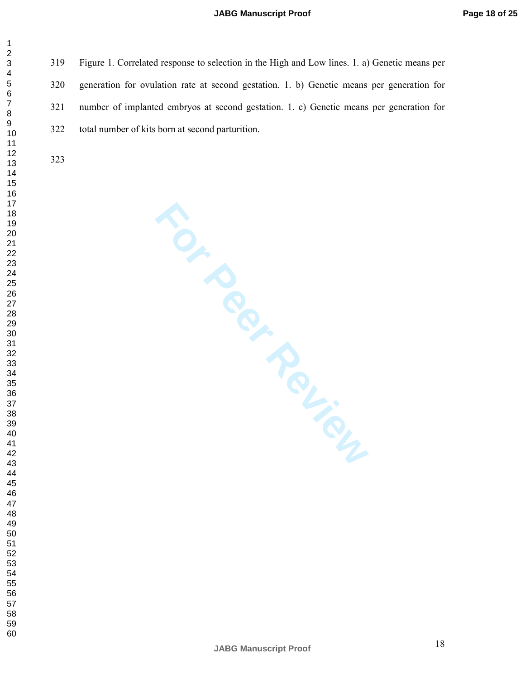319 Figure 1. Correlated response to selection in the High and Low lines. 1. a) Genetic means per 320 generation for ovulation rate at second gestation. 1. b) Genetic means per generation for 321 number of implanted embryos at second gestation. 1. c) Genetic means per generation for 322 total number of kits born at second parturition.

 $\mathbf{1}$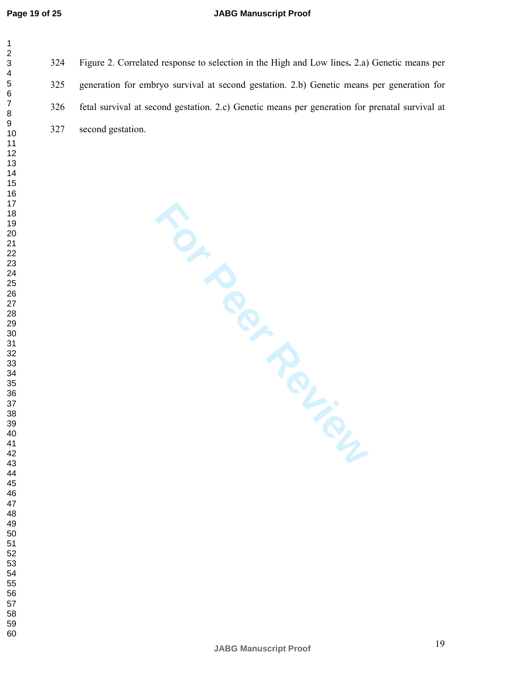#### **JABG Manuscript Proof**

| 1         |
|-----------|
|           |
|           |
|           |
|           |
|           |
|           |
|           |
|           |
|           |
|           |
|           |
|           |
|           |
|           |
|           |
|           |
|           |
|           |
|           |
|           |
|           |
|           |
|           |
|           |
|           |
|           |
|           |
|           |
|           |
|           |
|           |
|           |
|           |
|           |
|           |
|           |
|           |
|           |
|           |
|           |
|           |
| 40        |
| 41        |
|           |
| 42        |
| 43<br>ś   |
| 44        |
| 45        |
| 46        |
| 47        |
| 48        |
| 49        |
| 50        |
| 51        |
| - .<br>52 |
| 53        |
|           |
| 54        |
| 55        |
| 56<br>ć   |
| 57        |
| 58        |
| 59        |

324 Figure 2. Correlated response to selection in the High and Low lines**.** 2.a) Genetic means per 325 generation for embryo survival at second gestation. 2.b) Genetic means per generation for 326 fetal survival at second gestation. 2.c) Genetic means per generation for prenatal survival at 327 second gestation.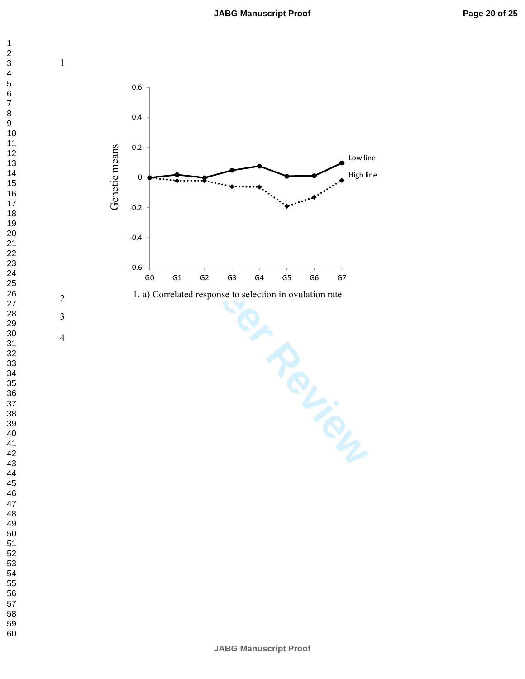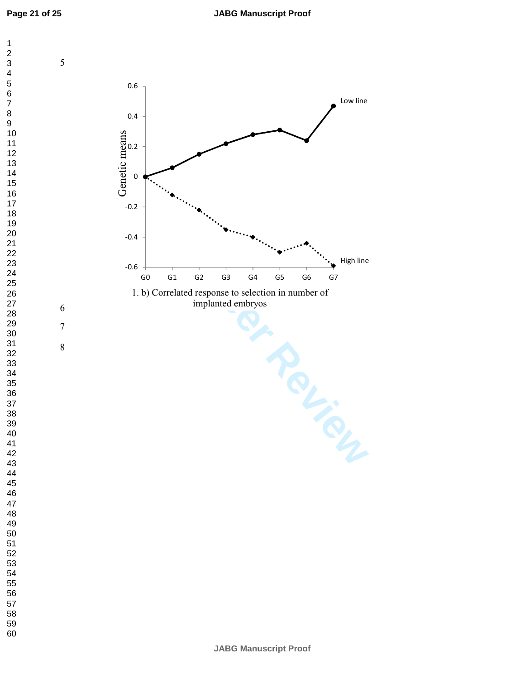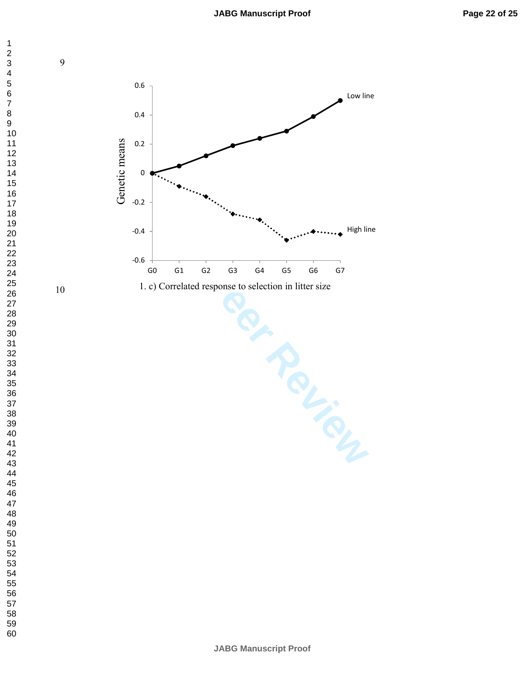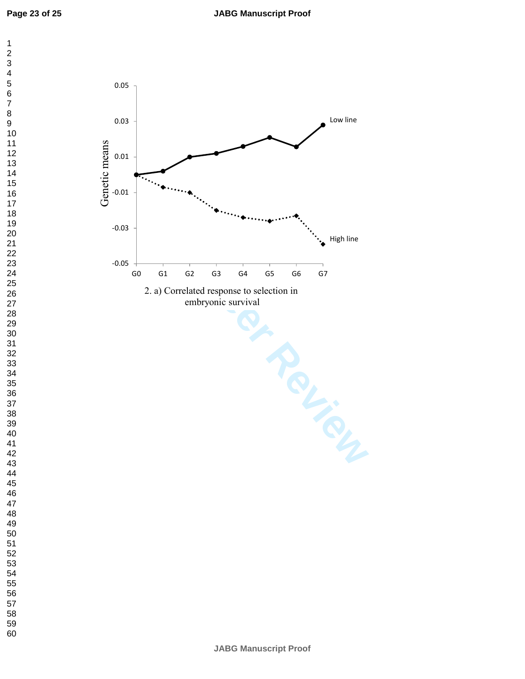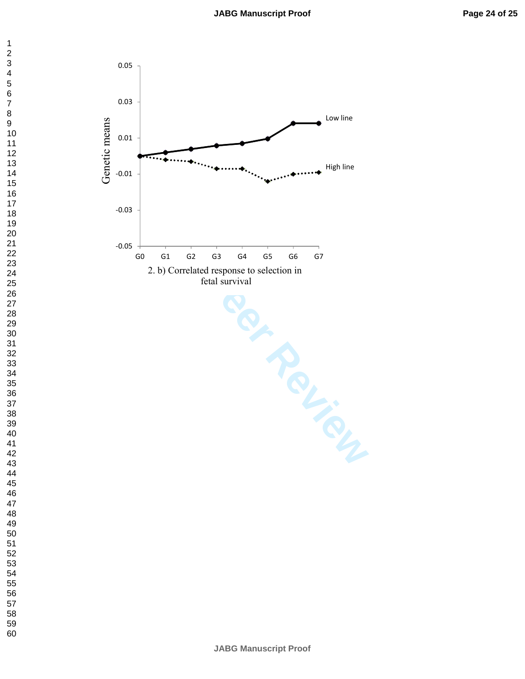